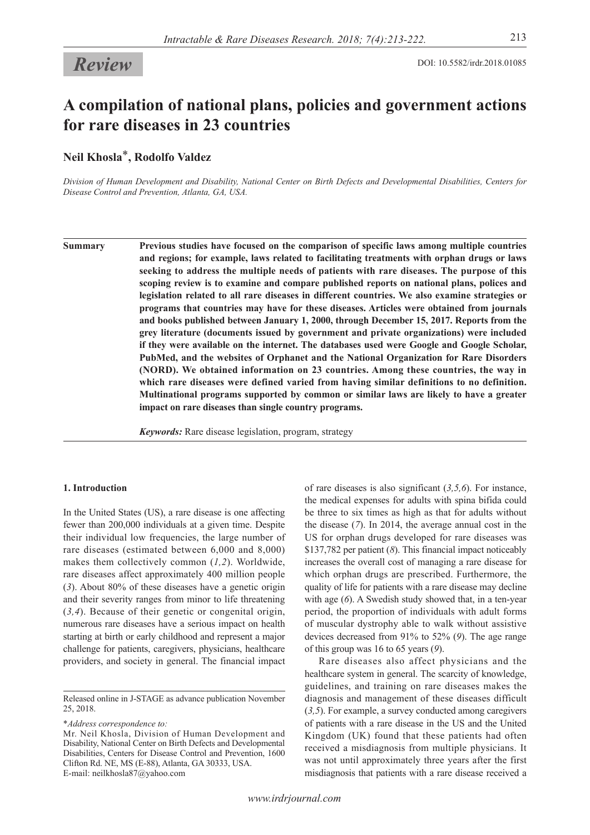# **A compilation of national plans, policies and government actions for rare diseases in 23 countries**

**Neil Khosla**\***, Rodolfo Valdez**

*Division of Human Development and Disability, National Center on Birth Defects and Developmental Disabilities, Centers for Disease Control and Prevention, Atlanta, GA, USA.*

**Summary Previous studies have focused on the comparison of specific laws among multiple countries and regions; for example, laws related to facilitating treatments with orphan drugs or laws seeking to address the multiple needs of patients with rare diseases. The purpose of this scoping review is to examine and compare published reports on national plans, polices and legislation related to all rare diseases in different countries. We also examine strategies or programs that countries may have for these diseases. Articles were obtained from journals and books published between January 1, 2000, through December 15, 2017. Reports from the grey literature (documents issued by government and private organizations) were included if they were available on the internet. The databases used were Google and Google Scholar, PubMed, and the websites of Orphanet and the National Organization for Rare Disorders (NORD). We obtained information on 23 countries. Among these countries, the way in which rare diseases were defined varied from having similar definitions to no definition. Multinational programs supported by common or similar laws are likely to have a greater impact on rare diseases than single country programs.**

*Keywords:* Rare disease legislation, program, strategy

# **1. Introduction**

In the United States (US), a rare disease is one affecting fewer than 200,000 individuals at a given time. Despite their individual low frequencies, the large number of rare diseases (estimated between 6,000 and 8,000) makes them collectively common (*1,2*). Worldwide, rare diseases affect approximately 400 million people (*3*). About 80% of these diseases have a genetic origin and their severity ranges from minor to life threatening (*3,4*). Because of their genetic or congenital origin, numerous rare diseases have a serious impact on health starting at birth or early childhood and represent a major challenge for patients, caregivers, physicians, healthcare providers, and society in general. The financial impact

\**Address correspondence to:*

Mr. Neil Khosla, Division of Human Development and Disability, National Center on Birth Defects and Developmental Disabilities, Centers for Disease Control and Prevention, 1600 Clifton Rd. NE, MS (E-88), Atlanta, GA 30333, USA. E-mail: neilkhosla87@yahoo.com

of rare diseases is also significant (*3,5,6*). For instance, the medical expenses for adults with spina bifida could be three to six times as high as that for adults without the disease (*7*). In 2014, the average annual cost in the US for orphan drugs developed for rare diseases was \$137,782 per patient (*8*). This financial impact noticeably increases the overall cost of managing a rare disease for which orphan drugs are prescribed. Furthermore, the quality of life for patients with a rare disease may decline with age (*6*). A Swedish study showed that, in a ten-year period, the proportion of individuals with adult forms of muscular dystrophy able to walk without assistive devices decreased from 91% to 52% (*9*). The age range of this group was 16 to 65 years (*9*).

Rare diseases also affect physicians and the healthcare system in general. The scarcity of knowledge, guidelines, and training on rare diseases makes the diagnosis and management of these diseases difficult (*3,5*). For example, a survey conducted among caregivers of patients with a rare disease in the US and the United Kingdom (UK) found that these patients had often received a misdiagnosis from multiple physicians. It was not until approximately three years after the first misdiagnosis that patients with a rare disease received a

Released online in J-STAGE as advance publication November 25, 2018.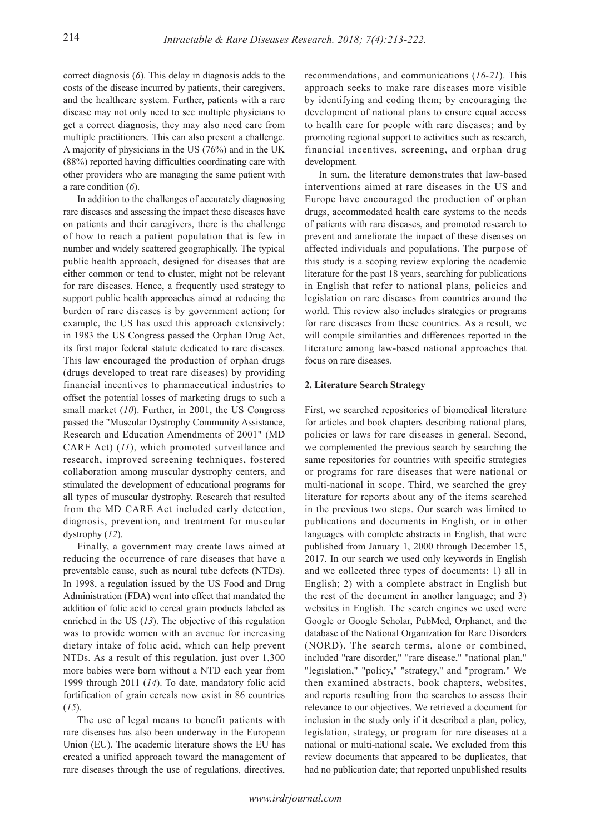correct diagnosis (*6*). This delay in diagnosis adds to the costs of the disease incurred by patients, their caregivers, and the healthcare system. Further, patients with a rare disease may not only need to see multiple physicians to get a correct diagnosis, they may also need care from multiple practitioners. This can also present a challenge. A majority of physicians in the US (76%) and in the UK (88%) reported having difficulties coordinating care with other providers who are managing the same patient with a rare condition (*6*).

In addition to the challenges of accurately diagnosing rare diseases and assessing the impact these diseases have on patients and their caregivers, there is the challenge of how to reach a patient population that is few in number and widely scattered geographically. The typical public health approach, designed for diseases that are either common or tend to cluster, might not be relevant for rare diseases. Hence, a frequently used strategy to support public health approaches aimed at reducing the burden of rare diseases is by government action; for example, the US has used this approach extensively: in 1983 the US Congress passed the Orphan Drug Act, its first major federal statute dedicated to rare diseases. This law encouraged the production of orphan drugs (drugs developed to treat rare diseases) by providing financial incentives to pharmaceutical industries to offset the potential losses of marketing drugs to such a small market (*10*). Further, in 2001, the US Congress passed the "Muscular Dystrophy Community Assistance, Research and Education Amendments of 2001" (MD CARE Act) (*11*), which promoted surveillance and research, improved screening techniques, fostered collaboration among muscular dystrophy centers, and stimulated the development of educational programs for all types of muscular dystrophy. Research that resulted from the MD CARE Act included early detection, diagnosis, prevention, and treatment for muscular dystrophy (*12*).

Finally, a government may create laws aimed at reducing the occurrence of rare diseases that have a preventable cause, such as neural tube defects (NTDs). In 1998, a regulation issued by the US Food and Drug Administration (FDA) went into effect that mandated the addition of folic acid to cereal grain products labeled as enriched in the US (*13*). The objective of this regulation was to provide women with an avenue for increasing dietary intake of folic acid, which can help prevent NTDs. As a result of this regulation, just over 1,300 more babies were born without a NTD each year from 1999 through 2011 (*14*). To date, mandatory folic acid fortification of grain cereals now exist in 86 countries (*15*).

The use of legal means to benefit patients with rare diseases has also been underway in the European Union (EU). The academic literature shows the EU has created a unified approach toward the management of rare diseases through the use of regulations, directives,

recommendations, and communications (*16-21*). This approach seeks to make rare diseases more visible by identifying and coding them; by encouraging the development of national plans to ensure equal access to health care for people with rare diseases; and by promoting regional support to activities such as research, financial incentives, screening, and orphan drug development.

In sum, the literature demonstrates that law-based interventions aimed at rare diseases in the US and Europe have encouraged the production of orphan drugs, accommodated health care systems to the needs of patients with rare diseases, and promoted research to prevent and ameliorate the impact of these diseases on affected individuals and populations. The purpose of this study is a scoping review exploring the academic literature for the past 18 years, searching for publications in English that refer to national plans, policies and legislation on rare diseases from countries around the world. This review also includes strategies or programs for rare diseases from these countries. As a result, we will compile similarities and differences reported in the literature among law-based national approaches that focus on rare diseases.

# **2. Literature Search Strategy**

First, we searched repositories of biomedical literature for articles and book chapters describing national plans, policies or laws for rare diseases in general. Second, we complemented the previous search by searching the same repositories for countries with specific strategies or programs for rare diseases that were national or multi-national in scope. Third, we searched the grey literature for reports about any of the items searched in the previous two steps. Our search was limited to publications and documents in English, or in other languages with complete abstracts in English, that were published from January 1, 2000 through December 15, 2017. In our search we used only keywords in English and we collected three types of documents: 1) all in English; 2) with a complete abstract in English but the rest of the document in another language; and 3) websites in English. The search engines we used were Google or Google Scholar, PubMed, Orphanet, and the database of the National Organization for Rare Disorders (NORD). The search terms, alone or combined, included "rare disorder," "rare disease," "national plan," "legislation," "policy," "strategy," and "program." We then examined abstracts, book chapters, websites, and reports resulting from the searches to assess their relevance to our objectives. We retrieved a document for inclusion in the study only if it described a plan, policy, legislation, strategy, or program for rare diseases at a national or multi-national scale. We excluded from this review documents that appeared to be duplicates, that had no publication date; that reported unpublished results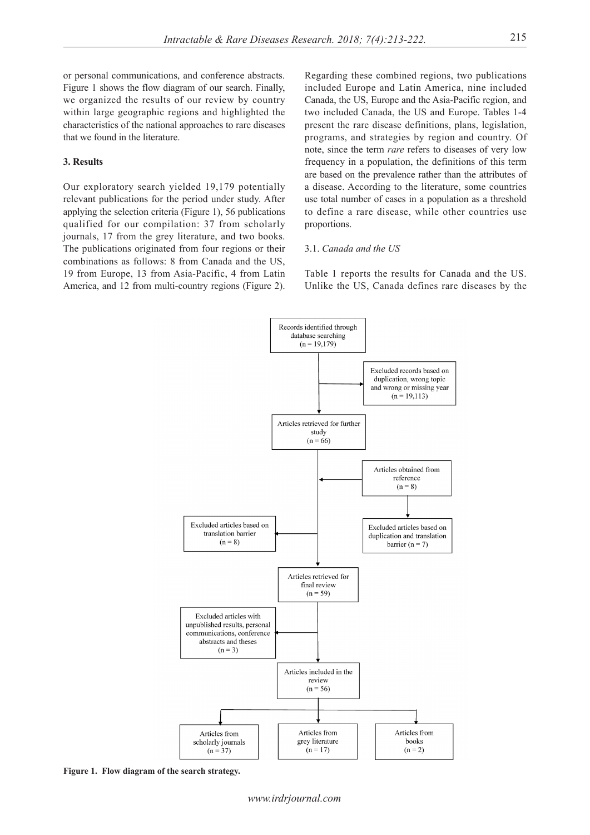or personal communications, and conference abstracts. Figure 1 shows the flow diagram of our search. Finally, we organized the results of our review by country within large geographic regions and highlighted the characteristics of the national approaches to rare diseases that we found in the literature.

# **3. Results**

Our exploratory search yielded 19,179 potentially relevant publications for the period under study. After applying the selection criteria (Figure 1), 56 publications qualified for our compilation: 37 from scholarly journals, 17 from the grey literature, and two books. The publications originated from four regions or their combinations as follows: 8 from Canada and the US, 19 from Europe, 13 from Asia-Pacific, 4 from Latin America, and 12 from multi-country regions (Figure 2).

Regarding these combined regions, two publications included Europe and Latin America, nine included Canada, the US, Europe and the Asia-Pacific region, and two included Canada, the US and Europe. Tables 1-4 present the rare disease definitions, plans, legislation, programs, and strategies by region and country. Of note, since the term *rare* refers to diseases of very low frequency in a population, the definitions of this term are based on the prevalence rather than the attributes of a disease. According to the literature, some countries use total number of cases in a population as a threshold to define a rare disease, while other countries use proportions.

# 3.1. *Canada and the US*

Table 1 reports the results for Canada and the US. Unlike the US, Canada defines rare diseases by the



**Figure 1. Flow diagram of the search strategy.**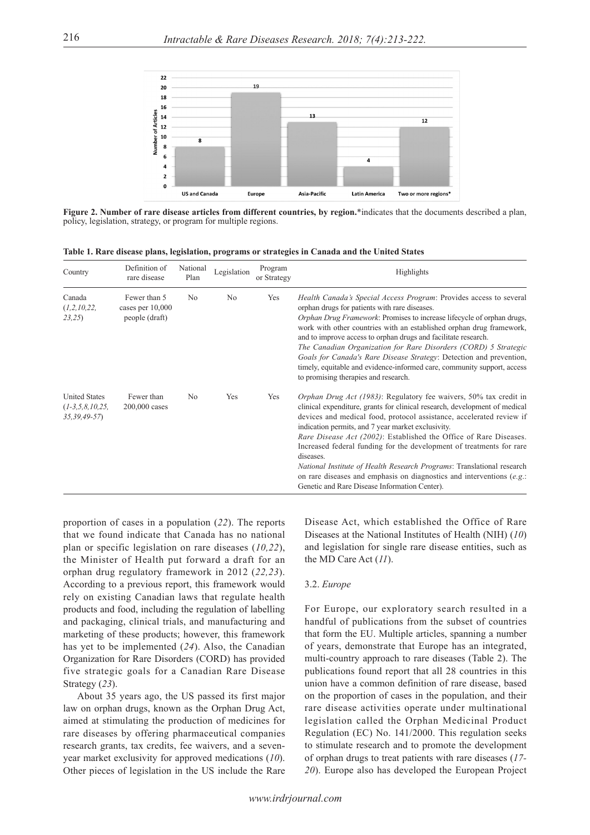

**Figure 2. Number of rare disease articles from different countries, by region.**\*indicates that the documents described a plan, policy, legislation, strategy, or program for multiple regions.

|  |  |  |  |  |  |  |  | Table 1. Rare disease plans, legislation, programs or strategies in Canada and the United States |  |
|--|--|--|--|--|--|--|--|--------------------------------------------------------------------------------------------------|--|
|--|--|--|--|--|--|--|--|--------------------------------------------------------------------------------------------------|--|

| Country                                                    | Definition of<br>rare disease                        | National<br>Plan | Legislation    | Program<br>or Strategy | Highlights                                                                                                                                                                                                                                                                                                                                                                                                                                                                                                                                                                                                                                    |
|------------------------------------------------------------|------------------------------------------------------|------------------|----------------|------------------------|-----------------------------------------------------------------------------------------------------------------------------------------------------------------------------------------------------------------------------------------------------------------------------------------------------------------------------------------------------------------------------------------------------------------------------------------------------------------------------------------------------------------------------------------------------------------------------------------------------------------------------------------------|
| Canada<br>(1,2,10,22,<br>23,25                             | Fewer than 5<br>cases per $10,000$<br>people (draft) | N <sub>o</sub>   | N <sub>o</sub> | Yes                    | Health Canada's Special Access Program: Provides access to several<br>orphan drugs for patients with rare diseases.<br>Orphan Drug Framework: Promises to increase lifecycle of orphan drugs,<br>work with other countries with an established orphan drug framework,<br>and to improve access to orphan drugs and facilitate research.<br>The Canadian Organization for Rare Disorders (CORD) 5 Strategic<br>Goals for Canada's Rare Disease Strategy: Detection and prevention,<br>timely, equitable and evidence-informed care, community support, access<br>to promising therapies and research.                                          |
| <b>United States</b><br>$(1-3,5,8,10,25,$<br>$35,39,49-57$ | Fewer than<br>$200,000$ cases                        | N <sub>o</sub>   | Yes            | Yes                    | Orphan Drug Act (1983): Regulatory fee waivers, 50% tax credit in<br>clinical expenditure, grants for clinical research, development of medical<br>devices and medical food, protocol assistance, accelerated review if<br>indication permits, and 7 year market exclusivity.<br>Rare Disease Act (2002): Established the Office of Rare Diseases.<br>Increased federal funding for the development of treatments for rare<br>diseases.<br>National Institute of Health Research Programs: Translational research<br>on rare diseases and emphasis on diagnostics and interventions $(e.g.:$<br>Genetic and Rare Disease Information Center). |

proportion of cases in a population (*22*). The reports that we found indicate that Canada has no national plan or specific legislation on rare diseases (*10,22*), the Minister of Health put forward a draft for an orphan drug regulatory framework in 2012 (*22,23*). According to a previous report, this framework would rely on existing Canadian laws that regulate health products and food, including the regulation of labelling and packaging, clinical trials, and manufacturing and marketing of these products; however, this framework has yet to be implemented (*24*). Also, the Canadian Organization for Rare Disorders (CORD) has provided five strategic goals for a Canadian Rare Disease Strategy (*23*).

About 35 years ago, the US passed its first major law on orphan drugs, known as the Orphan Drug Act, aimed at stimulating the production of medicines for rare diseases by offering pharmaceutical companies research grants, tax credits, fee waivers, and a sevenyear market exclusivity for approved medications (*10*). Other pieces of legislation in the US include the Rare

Disease Act, which established the Office of Rare Diseases at the National Institutes of Health (NIH) (*10*) and legislation for single rare disease entities, such as the MD Care Act (*11*).

# 3.2. *Europe*

For Europe, our exploratory search resulted in a handful of publications from the subset of countries that form the EU. Multiple articles, spanning a number of years, demonstrate that Europe has an integrated, multi-country approach to rare diseases (Table 2). The publications found report that all 28 countries in this union have a common definition of rare disease, based on the proportion of cases in the population, and their rare disease activities operate under multinational legislation called the Orphan Medicinal Product Regulation (EC) No. 141/2000. This regulation seeks to stimulate research and to promote the development of orphan drugs to treat patients with rare diseases (*17- 20*). Europe also has developed the European Project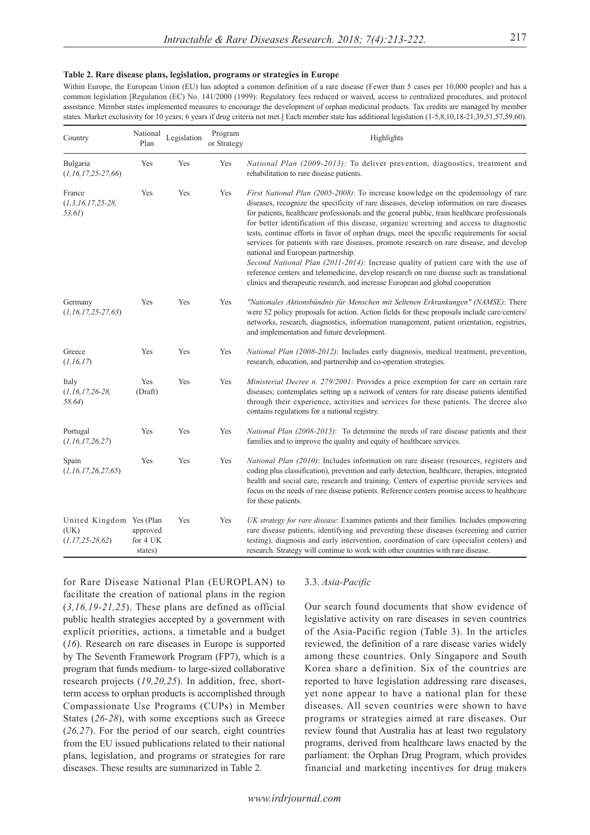#### **Table 2. Rare disease plans, legislation, programs or strategies in Europe**

Within Europe, the European Union (EU) has adopted a common definition of a rare disease (Fewer than 5 cases per 10,000 people) and has a common legislation [Regulation (EC) No. 141/2000 (1999): Regulatory fees reduced or waived, access to centralized procedures, and protocol assistance. Member states implemented measures to encourage the development of orphan medicinal products. Tax credits are managed by member states. Market exclusivity for 10 years; 6 years if drug criteria not met.] Each member state has additional legislation (1-5,8,10,18-21,39,51,57,59,60).

| Country                                                    | National<br>Plan                | Legislation | Program<br>or Strategy | Highlights                                                                                                                                                                                                                                                                                                                                                                                                                                                                                                                                                                                                                                                                                                                                                                                                                                                                        |
|------------------------------------------------------------|---------------------------------|-------------|------------------------|-----------------------------------------------------------------------------------------------------------------------------------------------------------------------------------------------------------------------------------------------------------------------------------------------------------------------------------------------------------------------------------------------------------------------------------------------------------------------------------------------------------------------------------------------------------------------------------------------------------------------------------------------------------------------------------------------------------------------------------------------------------------------------------------------------------------------------------------------------------------------------------|
| Bulgaria<br>$(1, 16, 17, 25 - 27, 66)$                     | Yes                             | Yes         | Yes                    | National Plan (2009-2013): To deliver prevention, diagnostics, treatment and<br>rehabilitation to rare disease patients.                                                                                                                                                                                                                                                                                                                                                                                                                                                                                                                                                                                                                                                                                                                                                          |
| France<br>$(1,3,16,17,25-28,$<br>53,61)                    | Yes                             | Yes         | Yes                    | First National Plan (2005-2008): To increase knowledge on the epidemiology of rare<br>diseases, recognize the specificity of rare diseases, develop information on rare diseases<br>for patients, healthcare professionals and the general public, train healthcare professionals<br>for better identification of this disease, organize screening and access to diagnostic<br>tests, continue efforts in favor of orphan drugs, meet the specific requirements for social<br>services for patients with rare diseases, promote research on rare disease, and develop<br>national and European partnership.<br>Second National Plan (2011-2014): Increase quality of patient care with the use of<br>reference centers and telemedicine, develop research on rare disease such as translational<br>clinics and therapeutic research, and increase European and global cooperation |
| Germany<br>$(1, 16, 17, 25-27, 63)$                        | Yes                             | Yes         | Yes                    | "Nationales Aktionsbündnis für Menschen mit Seltenen Erkrankungen" (NAMSE): There<br>were 52 policy proposals for action. Action fields for these proposals include care/centers/<br>networks, research, diagnostics, information management, patient orientation, registries,<br>and implementation and future development.                                                                                                                                                                                                                                                                                                                                                                                                                                                                                                                                                      |
| Greece<br>(1, 16, 17)                                      | Yes                             | Yes         | Yes                    | <i>National Plan (2008-2012)</i> : Includes early diagnosis, medical treatment, prevention,<br>research, education, and partnership and co-operation strategies.                                                                                                                                                                                                                                                                                                                                                                                                                                                                                                                                                                                                                                                                                                                  |
| Italy<br>$(1, 16, 17, 26-28,$<br>58,64)                    | Yes<br>(Draft)                  | Yes         | Yes                    | Ministerial Decree n. 279/2001: Provides a price exemption for care on certain rare<br>diseases; contemplates setting up a network of centers for rare disease patients identified<br>through their experience, activities and services for these patients. The decree also<br>contains regulations for a national registry.                                                                                                                                                                                                                                                                                                                                                                                                                                                                                                                                                      |
| Portugal<br>(1, 16, 17, 26, 27)                            | Yes                             | Yes         | Yes                    | <i>National Plan <math>(2008-2015)</math>:</i> To determine the needs of rare disease patients and their<br>families and to improve the quality and equity of healthcare services.                                                                                                                                                                                                                                                                                                                                                                                                                                                                                                                                                                                                                                                                                                |
| Spain<br>(1, 16, 17, 26, 27, 65)                           | Yes                             | Yes         | Yes                    | National Plan (2010): Includes information on rare disease (resources, registers and<br>coding plus classification), prevention and early detection, healthcare, therapies, integrated<br>health and social care, research and training. Centers of expertise provide services and<br>focus on the needs of rare disease patients. Reference centers promise access to healthcare<br>for these patients.                                                                                                                                                                                                                                                                                                                                                                                                                                                                          |
| United Kingdom Yes (Plan<br>(UK)<br>$(1, 17, 25 - 28, 62)$ | approved<br>for 4 UK<br>states) | Yes         | Yes                    | UK strategy for rare disease: Examines patients and their families. Includes empowering<br>rare disease patients, identifying and preventing these diseases (screening and carrier<br>testing), diagnosis and early intervention, coordination of care (specialist centers) and<br>research. Strategy will continue to work with other countries with rare disease.                                                                                                                                                                                                                                                                                                                                                                                                                                                                                                               |

for Rare Disease National Plan (EUROPLAN) to facilitate the creation of national plans in the region (*3,16,19-21,25*). These plans are defined as official public health strategies accepted by a government with explicit priorities, actions, a timetable and a budget (*16*). Research on rare diseases in Europe is supported by The Seventh Framework Program (FP7), which is a program that funds medium- to large-sized collaborative research projects (*19,20,25*). In addition, free, shortterm access to orphan products is accomplished through Compassionate Use Programs (CUPs) in Member States (*26-28*), with some exceptions such as Greece (*26,27*). For the period of our search, eight countries from the EU issued publications related to their national plans, legislation, and programs or strategies for rare diseases. These results are summarized in Table 2.

# 3.3. *Asia-Pacific*

Our search found documents that show evidence of legislative activity on rare diseases in seven countries of the Asia-Pacific region (Table 3). In the articles reviewed, the definition of a rare disease varies widely among these countries. Only Singapore and South Korea share a definition. Six of the countries are reported to have legislation addressing rare diseases, yet none appear to have a national plan for these diseases. All seven countries were shown to have programs or strategies aimed at rare diseases. Our review found that Australia has at least two regulatory programs, derived from healthcare laws enacted by the parliament: the Orphan Drug Program, which provides financial and marketing incentives for drug makers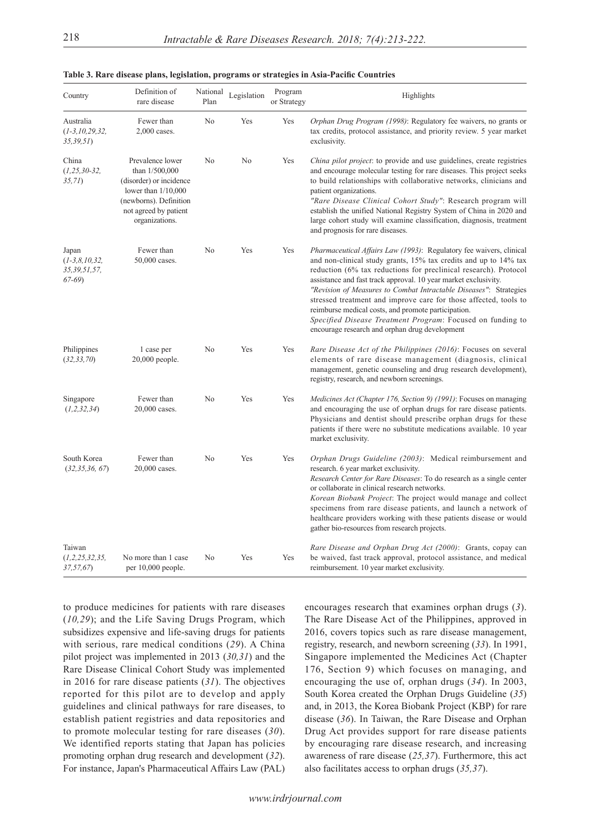| Country                                             | Definition of<br>rare disease                                                                                                                               | National<br>Plan | Legislation | Program<br>or Strategy | Highlights                                                                                                                                                                                                                                                                                                                                                                                                                                                                                                                                                                                     |
|-----------------------------------------------------|-------------------------------------------------------------------------------------------------------------------------------------------------------------|------------------|-------------|------------------------|------------------------------------------------------------------------------------------------------------------------------------------------------------------------------------------------------------------------------------------------------------------------------------------------------------------------------------------------------------------------------------------------------------------------------------------------------------------------------------------------------------------------------------------------------------------------------------------------|
| Australia<br>$(1-3, 10, 29, 32,$<br>35,39,51        | Fewer than<br>2,000 cases.                                                                                                                                  | No               | Yes         | Yes                    | Orphan Drug Program (1998): Regulatory fee waivers, no grants or<br>tax credits, protocol assistance, and priority review. 5 year market<br>exclusivity.                                                                                                                                                                                                                                                                                                                                                                                                                                       |
| China<br>$(1, 25, 30-32,$<br>35,71)                 | Prevalence lower<br>than 1/500,000<br>(disorder) or incidence<br>lower than $1/10,000$<br>(newborns). Definition<br>not agreed by patient<br>organizations. | No               | No          | Yes                    | China pilot project: to provide and use guidelines, create registries<br>and encourage molecular testing for rare diseases. This project seeks<br>to build relationships with collaborative networks, clinicians and<br>patient organizations.<br>"Rare Disease Clinical Cohort Study": Research program will<br>establish the unified National Registry System of China in 2020 and<br>large cohort study will examine classification, diagnosis, treatment<br>and prognosis for rare diseases.                                                                                               |
| Japan<br>$(1-3,8,10,32,$<br>35,39,51,57,<br>$67-69$ | Fewer than<br>50,000 cases.                                                                                                                                 | No               | Yes         | Yes                    | Pharmaceutical Affairs Law (1993): Regulatory fee waivers, clinical<br>and non-clinical study grants, 15% tax credits and up to 14% tax<br>reduction (6% tax reductions for preclinical research). Protocol<br>assistance and fast track approval. 10 year market exclusivity.<br>"Revision of Measures to Combat Intractable Diseases": Strategies<br>stressed treatment and improve care for those affected, tools to<br>reimburse medical costs, and promote participation.<br>Specified Disease Treatment Program: Focused on funding to<br>encourage research and orphan drug development |
| Philippines<br>(32, 33, 70)                         | 1 case per<br>$20,000$ people.                                                                                                                              | No               | Yes         | Yes                    | Rare Disease Act of the Philippines (2016): Focuses on several<br>elements of rare disease management (diagnosis, clinical<br>management, genetic counseling and drug research development),<br>registry, research, and newborn screenings.                                                                                                                                                                                                                                                                                                                                                    |
| Singapore<br>(1,2,32,34)                            | Fewer than<br>20,000 cases.                                                                                                                                 | No               | Yes         | Yes                    | Medicines Act (Chapter 176, Section 9) (1991): Focuses on managing<br>and encouraging the use of orphan drugs for rare disease patients.<br>Physicians and dentist should prescribe orphan drugs for these<br>patients if there were no substitute medications available. 10 year<br>market exclusivity.                                                                                                                                                                                                                                                                                       |
| South Korea<br>(32, 35, 36, 67)                     | Fewer than<br>20,000 cases.                                                                                                                                 | No               | Yes         | Yes                    | Orphan Drugs Guideline (2003): Medical reimbursement and<br>research. 6 year market exclusivity.<br>Research Center for Rare Diseases: To do research as a single center<br>or collaborate in clinical research networks.<br>Korean Biobank Project: The project would manage and collect<br>specimens from rare disease patients, and launch a network of<br>healthcare providers working with these patients disease or would<br>gather bio-resources from research projects.                                                                                                                |
| Taiwan<br>(1,2,25,32,35,<br>37,57,67)               | No more than 1 case<br>per $10,000$ people.                                                                                                                 | No               | Yes         | Yes                    | Rare Disease and Orphan Drug Act (2000): Grants, copay can<br>be waived, fast track approval, protocol assistance, and medical<br>reimbursement. 10 year market exclusivity.                                                                                                                                                                                                                                                                                                                                                                                                                   |

| Table 3. Rare disease plans, legislation, programs or strategies in Asia-Pacific Countries |  |  |  |
|--------------------------------------------------------------------------------------------|--|--|--|
|--------------------------------------------------------------------------------------------|--|--|--|

to produce medicines for patients with rare diseases (*10,29*); and the Life Saving Drugs Program, which subsidizes expensive and life-saving drugs for patients with serious, rare medical conditions (*29*). A China pilot project was implemented in 2013 (*30,31*) and the Rare Disease Clinical Cohort Study was implemented in 2016 for rare disease patients (*31*). The objectives reported for this pilot are to develop and apply guidelines and clinical pathways for rare diseases, to establish patient registries and data repositories and to promote molecular testing for rare diseases (*30*). We identified reports stating that Japan has policies promoting orphan drug research and development (*32*). For instance, Japan's Pharmaceutical Affairs Law (PAL)

encourages research that examines orphan drugs (*3*). The Rare Disease Act of the Philippines, approved in 2016, covers topics such as rare disease management, registry, research, and newborn screening (*33*). In 1991, Singapore implemented the Medicines Act (Chapter 176, Section 9) which focuses on managing, and encouraging the use of, orphan drugs (*34*). In 2003, South Korea created the Orphan Drugs Guideline (*35*) and, in 2013, the Korea Biobank Project (KBP) for rare disease (*36*). In Taiwan, the Rare Disease and Orphan Drug Act provides support for rare disease patients by encouraging rare disease research, and increasing awareness of rare disease (*25,37*). Furthermore, this act also facilitates access to orphan drugs (*35,37*).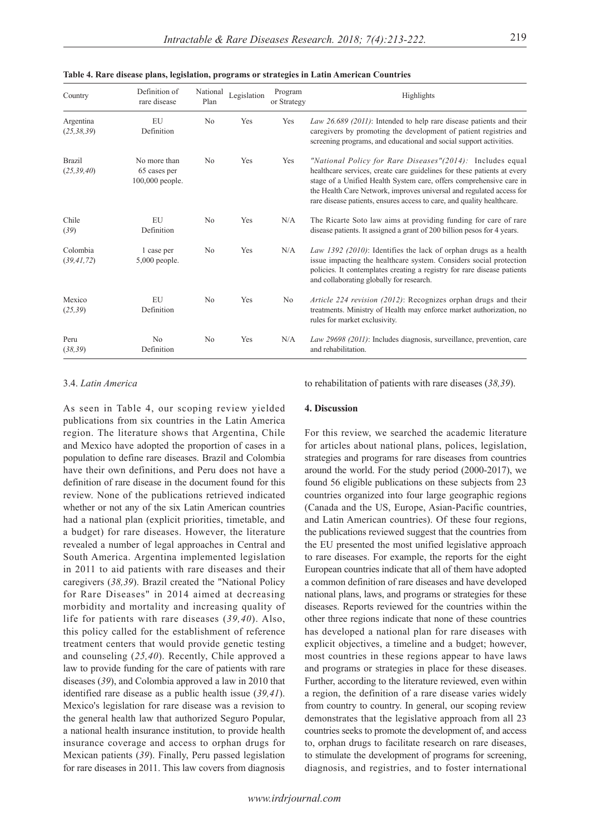| Country                       | Definition of<br>rare disease                   | National<br>Plan | Legislation | Program<br>or Strategy | Highlights                                                                                                                                                                                                                                                                                                                                                        |
|-------------------------------|-------------------------------------------------|------------------|-------------|------------------------|-------------------------------------------------------------------------------------------------------------------------------------------------------------------------------------------------------------------------------------------------------------------------------------------------------------------------------------------------------------------|
| Argentina<br>(25, 38, 39)     | EU<br>Definition                                | N <sub>o</sub>   | Yes         | Yes                    | Law 26.689 (2011): Intended to help rare disease patients and their<br>caregivers by promoting the development of patient registries and<br>screening programs, and educational and social support activities.                                                                                                                                                    |
| <b>Brazil</b><br>(25, 39, 40) | No more than<br>65 cases per<br>100,000 people. | N <sub>0</sub>   | Yes         | Yes                    | "National Policy for Rare Diseases" $(2014)$ : Includes equal<br>healthcare services, create care guidelines for these patients at every<br>stage of a Unified Health System care, offers comprehensive care in<br>the Health Care Network, improves universal and regulated access for<br>rare disease patients, ensures access to care, and quality healthcare. |
| Chile<br>(39)                 | EU<br>Definition                                | N <sub>o</sub>   | Yes         | N/A                    | The Ricarte Soto law aims at providing funding for care of rare<br>disease patients. It assigned a grant of 200 billion pesos for 4 years.                                                                                                                                                                                                                        |
| Colombia<br>(39, 41, 72)      | 1 case per<br>$5,000$ people.                   | No               | Yes         | N/A                    | Law 1392 (2010): Identifies the lack of orphan drugs as a health<br>issue impacting the healthcare system. Considers social protection<br>policies. It contemplates creating a registry for rare disease patients<br>and collaborating globally for research.                                                                                                     |
| Mexico<br>(25, 39)            | EU<br>Definition                                | N <sub>0</sub>   | Yes         | No                     | Article 224 revision (2012): Recognizes orphan drugs and their<br>treatments. Ministry of Health may enforce market authorization, no<br>rules for market exclusivity.                                                                                                                                                                                            |
| Peru<br>(38, 39)              | N <sub>o</sub><br>Definition                    | N <sub>o</sub>   | Yes         | N/A                    | Law 29698 (2011): Includes diagnosis, surveillance, prevention, care<br>and rehabilitation.                                                                                                                                                                                                                                                                       |

**Table 4. Rare disease plans, legislation, programs or strategies in Latin American Countries**

# 3.4. *Latin America*

As seen in Table 4, our scoping review yielded publications from six countries in the Latin America region. The literature shows that Argentina, Chile and Mexico have adopted the proportion of cases in a population to define rare diseases. Brazil and Colombia have their own definitions, and Peru does not have a definition of rare disease in the document found for this review. None of the publications retrieved indicated whether or not any of the six Latin American countries had a national plan (explicit priorities, timetable, and a budget) for rare diseases. However, the literature revealed a number of legal approaches in Central and South America. Argentina implemented legislation in 2011 to aid patients with rare diseases and their caregivers (*38,39*). Brazil created the "National Policy for Rare Diseases" in 2014 aimed at decreasing morbidity and mortality and increasing quality of life for patients with rare diseases (*39,40*). Also, this policy called for the establishment of reference treatment centers that would provide genetic testing and counseling (*25,40*). Recently, Chile approved a law to provide funding for the care of patients with rare diseases (*39*), and Colombia approved a law in 2010 that identified rare disease as a public health issue (*39,41*). Mexico's legislation for rare disease was a revision to the general health law that authorized Seguro Popular, a national health insurance institution, to provide health insurance coverage and access to orphan drugs for Mexican patients (*39*). Finally, Peru passed legislation for rare diseases in 2011. This law covers from diagnosis

to rehabilitation of patients with rare diseases (*38,39*).

### **4. Discussion**

For this review, we searched the academic literature for articles about national plans, polices, legislation, strategies and programs for rare diseases from countries around the world. For the study period (2000-2017), we found 56 eligible publications on these subjects from 23 countries organized into four large geographic regions (Canada and the US, Europe, Asian-Pacific countries, and Latin American countries). Of these four regions, the publications reviewed suggest that the countries from the EU presented the most unified legislative approach to rare diseases. For example, the reports for the eight European countries indicate that all of them have adopted a common definition of rare diseases and have developed national plans, laws, and programs or strategies for these diseases. Reports reviewed for the countries within the other three regions indicate that none of these countries has developed a national plan for rare diseases with explicit objectives, a timeline and a budget; however, most countries in these regions appear to have laws and programs or strategies in place for these diseases. Further, according to the literature reviewed, even within a region, the definition of a rare disease varies widely from country to country. In general, our scoping review demonstrates that the legislative approach from all 23 countries seeks to promote the development of, and access to, orphan drugs to facilitate research on rare diseases, to stimulate the development of programs for screening, diagnosis, and registries, and to foster international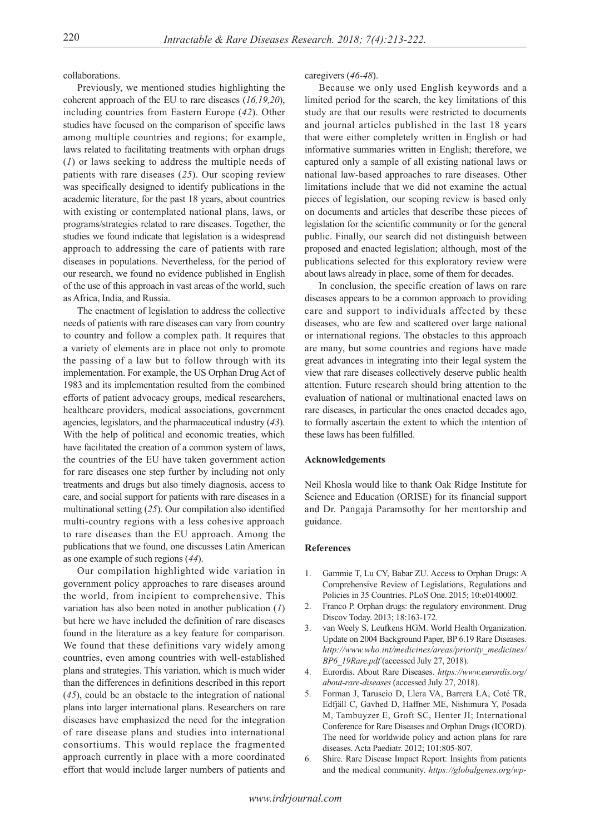collaborations.

Previously, we mentioned studies highlighting the coherent approach of the EU to rare diseases (*16,19,20*), including countries from Eastern Europe (*42*). Other studies have focused on the comparison of specific laws among multiple countries and regions; for example, laws related to facilitating treatments with orphan drugs (*1*) or laws seeking to address the multiple needs of patients with rare diseases (*25*). Our scoping review was specifically designed to identify publications in the academic literature, for the past 18 years, about countries with existing or contemplated national plans, laws, or programs/strategies related to rare diseases. Together, the studies we found indicate that legislation is a widespread approach to addressing the care of patients with rare diseases in populations. Nevertheless, for the period of our research, we found no evidence published in English of the use of this approach in vast areas of the world, such as Africa, India, and Russia.

The enactment of legislation to address the collective needs of patients with rare diseases can vary from country to country and follow a complex path. It requires that a variety of elements are in place not only to promote the passing of a law but to follow through with its implementation. For example, the US Orphan Drug Act of 1983 and its implementation resulted from the combined efforts of patient advocacy groups, medical researchers, healthcare providers, medical associations, government agencies, legislators, and the pharmaceutical industry (*43*). With the help of political and economic treaties, which have facilitated the creation of a common system of laws, the countries of the EU have taken government action for rare diseases one step further by including not only treatments and drugs but also timely diagnosis, access to care, and social support for patients with rare diseases in a multinational setting (*25*). Our compilation also identified multi-country regions with a less cohesive approach to rare diseases than the EU approach. Among the publications that we found, one discusses Latin American as one example of such regions (*44*).

Our compilation highlighted wide variation in government policy approaches to rare diseases around the world, from incipient to comprehensive. This variation has also been noted in another publication (*1*) but here we have included the definition of rare diseases found in the literature as a key feature for comparison. We found that these definitions vary widely among countries, even among countries with well-established plans and strategies. This variation, which is much wider than the differences in definitions described in this report (*45*), could be an obstacle to the integration of national plans into larger international plans. Researchers on rare diseases have emphasized the need for the integration of rare disease plans and studies into international consortiums. This would replace the fragmented approach currently in place with a more coordinated effort that would include larger numbers of patients and

caregivers (*46-48*).

Because we only used English keywords and a limited period for the search, the key limitations of this study are that our results were restricted to documents and journal articles published in the last 18 years that were either completely written in English or had informative summaries written in English; therefore, we captured only a sample of all existing national laws or national law-based approaches to rare diseases. Other limitations include that we did not examine the actual pieces of legislation, our scoping review is based only on documents and articles that describe these pieces of legislation for the scientific community or for the general public. Finally, our search did not distinguish between proposed and enacted legislation; although, most of the publications selected for this exploratory review were about laws already in place, some of them for decades.

In conclusion, the specific creation of laws on rare diseases appears to be a common approach to providing care and support to individuals affected by these diseases, who are few and scattered over large national or international regions. The obstacles to this approach are many, but some countries and regions have made great advances in integrating into their legal system the view that rare diseases collectively deserve public health attention. Future research should bring attention to the evaluation of national or multinational enacted laws on rare diseases, in particular the ones enacted decades ago, to formally ascertain the extent to which the intention of these laws has been fulfilled.

# **Acknowledgements**

Neil Khosla would like to thank Oak Ridge Institute for Science and Education (ORISE) for its financial support and Dr. Pangaja Paramsothy for her mentorship and guidance.

# **References**

- 1. Gammie T, Lu CY, Babar ZU. Access to Orphan Drugs: A Comprehensive Review of Legislations, Regulations and Policies in 35 Countries. PLoS One. 2015; 10:e0140002.
- 2. Franco P. Orphan drugs: the regulatory environment. Drug Discov Today. 2013; 18:163-172.
- van Weely S, Leufkens HGM. World Health Organization. Update on 2004 Background Paper, BP 6.19 Rare Diseases. *http://www.who.int/medicines/areas/priority\_medicines/ BP6\_19Rare.pdf* (accessed July 27, 2018).
- 4. Eurordis. About Rare Diseases. *https://www.eurordis.org/ about-rare-diseases* (accessed July 27, 2018).
- 5. Forman J, Taruscio D, Llera VA, Barrera LA, Coté TR, Edfjäll C, Gavhed D, Haffner ME, Nishimura Y, Posada M, Tambuyzer E, Groft SC, Henter JI; International Conference for Rare Diseases and Orphan Drugs (ICORD). The need for worldwide policy and action plans for rare diseases. Acta Paediatr. 2012; 101:805-807.
- 6. Shire. Rare Disease Impact Report: Insights from patients and the medical community. *https://globalgenes.org/wp-*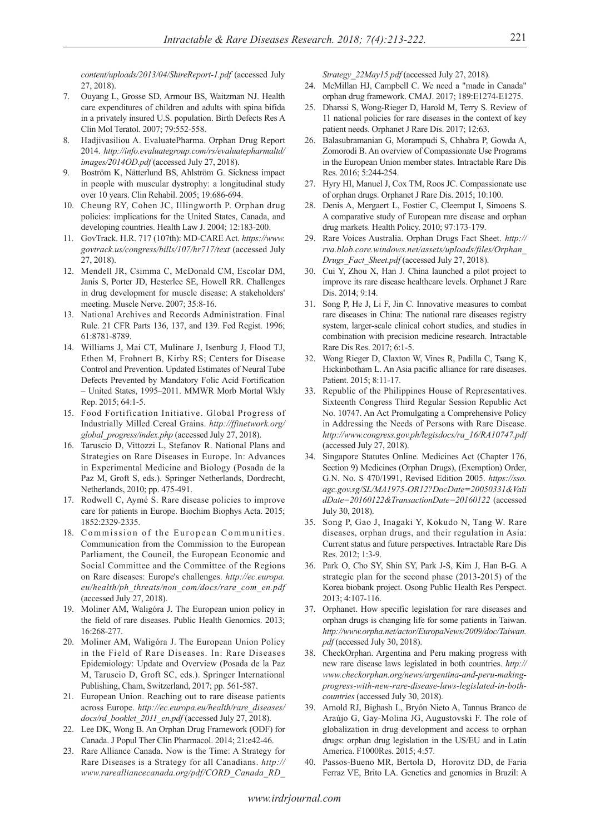*content/uploads/2013/04/ShireReport-1.pdf* (accessed July 27, 2018).

- 7. Ouyang L, Grosse SD, Armour BS, Waitzman NJ. Health care expenditures of children and adults with spina bifida in a privately insured U.S. population. Birth Defects Res A Clin Mol Teratol. 2007; 79:552-558.
- 8. Hadjivasiliou A. EvaluatePharma. Orphan Drug Report 2014. *http://info.evaluategroup.com/rs/evaluatepharmaltd/ images/2014OD.pdf* (accessed July 27, 2018).
- 9. Boström K, Nätterlund BS, Ahlström G. Sickness impact in people with muscular dystrophy: a longitudinal study over 10 years. Clin Rehabil. 2005; 19:686-694.
- 10. Cheung RY, Cohen JC, Illingworth P. Orphan drug policies: implications for the United States, Canada, and developing countries. Health Law J. 2004; 12:183-200.
- 11. GovTrack. H.R. 717 (107th): MD-CARE Act. *https://www. govtrack.us/congress/bills/107/hr717/text* (accessed July 27, 2018).
- 12. Mendell JR, Csimma C, McDonald CM, Escolar DM, Janis S, Porter JD, Hesterlee SE, Howell RR. Challenges in drug development for muscle disease: A stakeholders' meeting. Muscle Nerve. 2007; 35:8-16.
- 13. National Archives and Records Administration. Final Rule. 21 CFR Parts 136, 137, and 139. Fed Regist. 1996; 61:8781-8789.
- 14. Williams J, Mai CT, Mulinare J, Isenburg J, Flood TJ, Ethen M, Frohnert B, Kirby RS; Centers for Disease Control and Prevention. Updated Estimates of Neural Tube Defects Prevented by Mandatory Folic Acid Fortification ‒ United States, 1995–2011. MMWR Morb Mortal Wkly Rep. 2015; 64:1-5.
- 15. Food Fortification Initiative. Global Progress of Industrially Milled Cereal Grains. *http://ffinetwork.org/ global\_progress/index.php* (accessed July 27, 2018).
- 16. Taruscio D, Vittozzi L, Stefanov R. National Plans and Strategies on Rare Diseases in Europe. In: Advances in Experimental Medicine and Biology (Posada de la Paz M, Groft S, eds.). Springer Netherlands, Dordrecht, Netherlands, 2010; pp. 475-491.
- 17. Rodwell C, Aymé S. Rare disease policies to improve care for patients in Europe. Biochim Biophys Acta. 2015; 1852:2329-2335.
- 18. Commission of the European Communities. Communication from the Commission to the European Parliament, the Council, the European Economic and Social Committee and the Committee of the Regions on Rare diseases: Europe's challenges. *http://ec.europa. eu/health/ph\_threats/non\_com/docs/rare\_com\_en.pdf*  (accessed July 27, 2018).
- 19. Moliner AM, Waligóra J. The European union policy in the field of rare diseases. Public Health Genomics. 2013; 16:268-277.
- 20. Moliner AM, Waligóra J. The European Union Policy in the Field of Rare Diseases. In: Rare Diseases Epidemiology: Update and Overview (Posada de la Paz M, Taruscio D, Groft SC, eds.). Springer International Publishing, Cham, Switzerland, 2017; pp. 561-587.
- 21. European Union. Reaching out to rare disease patients across Europe. *http://ec.europa.eu/health/rare\_diseases/ docs/rd\_booklet\_2011\_en.pdf* (accessed July 27, 2018).
- 22. Lee DK, Wong B. An Orphan Drug Framework (ODF) for Canada. J Popul Ther Clin Pharmacol. 2014; 21:e42-46.
- 23. Rare Alliance Canada. Now is the Time: A Strategy for Rare Diseases is a Strategy for all Canadians. *http:// www.rarealliancecanada.org/pdf/CORD\_Canada\_RD\_*

*Strategy\_22May15.pdf* (accessed July 27, 2018).

- 24. McMillan HJ, Campbell C. We need a "made in Canada" orphan drug framework. CMAJ. 2017; 189:E1274-E1275.
- 25. Dharssi S, Wong-Rieger D, Harold M, Terry S. Review of 11 national policies for rare diseases in the context of key patient needs. Orphanet J Rare Dis. 2017; 12:63.
- 26. Balasubramanian G, Morampudi S, Chhabra P, Gowda A, Zomorodi B. An overview of Compassionate Use Programs in the European Union member states. Intractable Rare Dis Res. 2016; 5:244-254.
- 27. Hyry HI, Manuel J, Cox TM, Roos JC. Compassionate use of orphan drugs. Orphanet J Rare Dis. 2015; 10:100.
- 28. Denis A, Mergaert L, Fostier C, Cleemput I, Simoens S. A comparative study of European rare disease and orphan drug markets. Health Policy. 2010; 97:173-179.
- 29. Rare Voices Australia. Orphan Drugs Fact Sheet. *http:// rva.blob.core.windows.net/assets/uploads/files/Orphan\_ Drugs\_Fact\_Sheet.pdf* (accessed July 27, 2018).
- 30. Cui Y, Zhou X, Han J. China launched a pilot project to improve its rare disease healthcare levels. Orphanet J Rare Dis. 2014; 9:14.
- 31. Song P, He J, Li F, Jin C. Innovative measures to combat rare diseases in China: The national rare diseases registry system, larger-scale clinical cohort studies, and studies in combination with precision medicine research. Intractable Rare Dis Res. 2017; 6:1-5.
- 32. Wong Rieger D, Claxton W, Vines R, Padilla C, Tsang K, Hickinbotham L. An Asia pacific alliance for rare diseases. Patient. 2015; 8:11-17.
- 33. Republic of the Philippines House of Representatives. Sixteenth Congress Third Regular Session Republic Act No. 10747. An Act Promulgating a Comprehensive Policy in Addressing the Needs of Persons with Rare Disease. *http://www.congress.gov.ph/legisdocs/ra\_16/RA10747.pdf* (accessed July 27, 2018).
- 34. Singapore Statutes Online. Medicines Act (Chapter 176, Section 9) Medicines (Orphan Drugs), (Exemption) Order, G.N. No. S 470/1991, Revised Edition 2005. *https://sso. agc.gov.sg/SL/MA1975-OR12?DocDate=20050331&Vali dDate=20160122&TransactionDate=20160122* (accessed July 30, 2018).
- 35. Song P, Gao J, Inagaki Y, Kokudo N, Tang W. Rare diseases, orphan drugs, and their regulation in Asia: Current status and future perspectives. Intractable Rare Dis Res. 2012; 1:3-9.
- 36. Park O, Cho SY, Shin SY, Park J-S, Kim J, Han B-G. A strategic plan for the second phase (2013-2015) of the Korea biobank project. Osong Public Health Res Perspect. 2013; 4:107-116.
- 37. Orphanet. How specific legislation for rare diseases and orphan drugs is changing life for some patients in Taiwan. *http://www.orpha.net/actor/EuropaNews/2009/doc/Taiwan. pdf* (accessed July 30, 2018).
- 38. CheckOrphan. Argentina and Peru making progress with new rare disease laws legislated in both countries. *http:// www.checkorphan.org/news/argentina-and-peru-makingprogress-with-new-rare-disease-laws-legislated-in-bothcountries* (accessed July 30, 2018).
- 39. Arnold RJ, Bighash L, Bryón Nieto A, Tannus Branco de Araújo G, Gay-Molina JG, Augustovski F. The role of globalization in drug development and access to orphan drugs: orphan drug legislation in the US/EU and in Latin America. F1000Res. 2015; 4:57.
- 40. Passos-Bueno MR, Bertola D, Horovitz DD, de Faria Ferraz VE, Brito LA. Genetics and genomics in Brazil: A